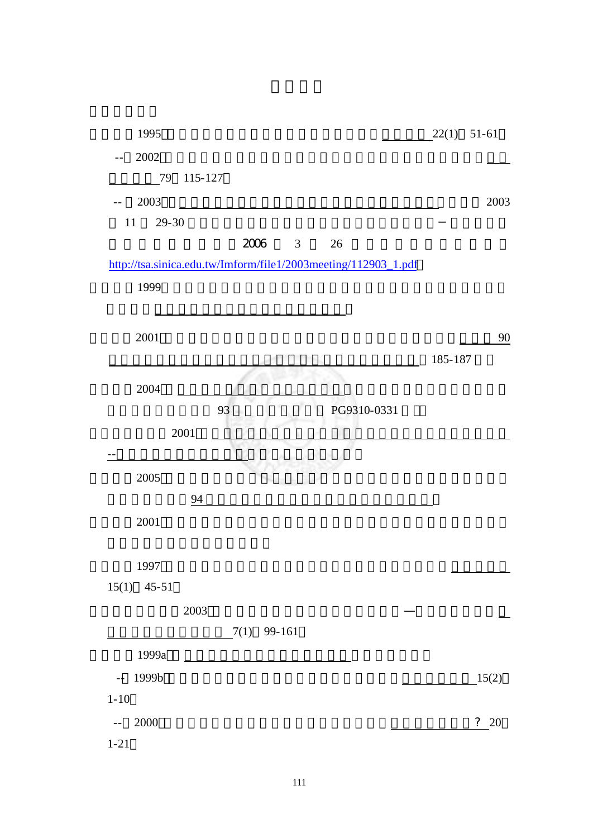| 1995                                                           |             | 22(1)   | $51 - 61$ |
|----------------------------------------------------------------|-------------|---------|-----------|
| 2002                                                           |             |         |           |
| 79<br>115-127                                                  |             |         |           |
| 2003                                                           |             |         | 2003      |
| 11<br>$29 - 30$                                                |             |         |           |
| 2006<br>$\overline{\mathbf{3}}$                                | 26          |         |           |
| http://tsa.sinica.edu.tw/Imform/file1/2003meeting/112903_1.pdf |             |         |           |
| 1999                                                           |             |         |           |
|                                                                |             |         |           |
| $2001\,$                                                       |             |         | 90        |
|                                                                |             | 185-187 |           |
| 2004                                                           |             |         |           |
| 93                                                             | PG9310-0331 |         |           |
| 2001                                                           |             |         |           |
|                                                                |             |         |           |
| 2005                                                           |             |         |           |
| 94                                                             |             |         |           |
| 2001                                                           |             |         |           |
|                                                                |             |         |           |
| 1997                                                           |             |         |           |
| $15(1)$ 45-51                                                  |             |         |           |
| 2003                                                           |             |         |           |
| $7(1)$ 99-161                                                  |             |         |           |
| 1999a                                                          |             |         |           |
| 1999b<br>$\mathbb{L}^{\perp}$                                  |             |         | 15(2)     |
| $1 - 10$                                                       |             |         |           |
| 2000<br>$ -$                                                   |             |         | ? 20      |
| $1 - 21$                                                       |             |         |           |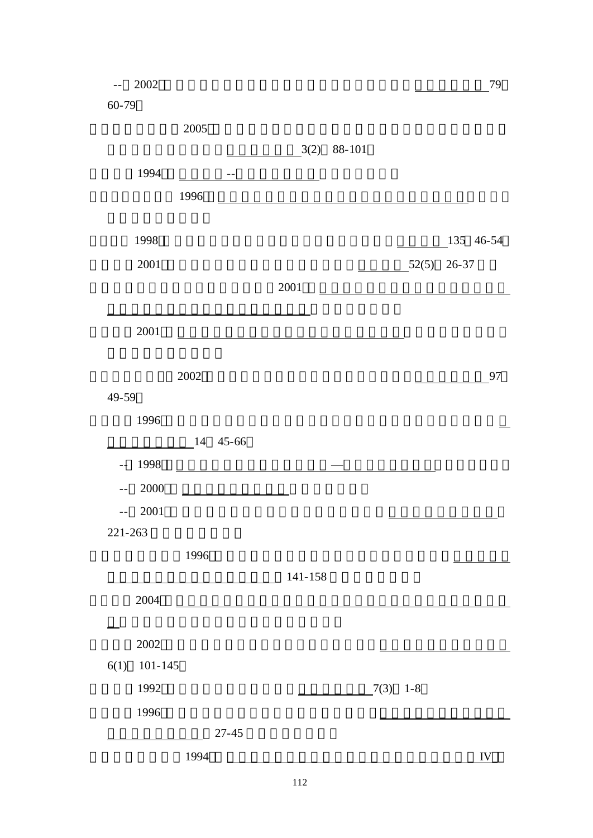| $- -$     | $2002\,$    |          |           |         |        |        |         |             | 79 |
|-----------|-------------|----------|-----------|---------|--------|--------|---------|-------------|----|
| $60 - 79$ |             |          |           |         |        |        |         |             |    |
|           |             | $2005\,$ |           |         |        |        |         |             |    |
|           |             |          |           | 3(2)    | 88-101 |        |         |             |    |
|           | 1994        |          | $- -$     |         |        |        |         |             |    |
|           |             | 1996     |           |         |        |        |         |             |    |
|           |             |          |           |         |        |        |         |             |    |
|           | 1998        |          |           |         |        |        |         | $135$ 46-54 |    |
|           | 2001        |          |           |         |        |        | 52(5)   | $26 - 37$   |    |
|           |             |          |           | 2001    |        |        |         |             |    |
|           |             |          |           |         |        |        |         |             |    |
|           | $2001\,$    |          |           |         |        |        |         |             |    |
|           |             |          |           |         |        |        |         |             |    |
|           |             | $2002\,$ |           |         |        |        |         |             | 97 |
| 49-59     |             |          |           |         |        |        |         |             |    |
|           | 1996        |          |           |         |        |        |         |             |    |
|           |             | 14       | $45 - 66$ |         |        |        |         |             |    |
| $-$       | 1998        |          |           |         |        |        |         |             |    |
| $ -$      | 2000        |          |           |         |        |        |         |             |    |
|           | $2001\,$    |          |           |         |        |        |         |             |    |
| 221-263   |             |          |           |         |        |        |         |             |    |
|           |             | 1996     |           |         |        |        |         |             |    |
|           |             |          |           | 141-158 |        |        |         |             |    |
|           | 2004        |          |           |         |        |        |         |             |    |
|           |             |          |           |         |        |        |         |             |    |
|           | $2002\,$    |          |           |         |        |        |         |             |    |
| 6(1)      | $101 - 145$ |          |           |         |        |        |         |             |    |
|           | 1992        |          |           |         |        | (7(3)) | $1 - 8$ |             |    |
|           | 1996        |          |           |         |        |        |         |             |    |
|           |             |          | $27 - 45$ |         |        |        |         |             |    |
|           |             | 1994     |           |         |        |        |         | IV          |    |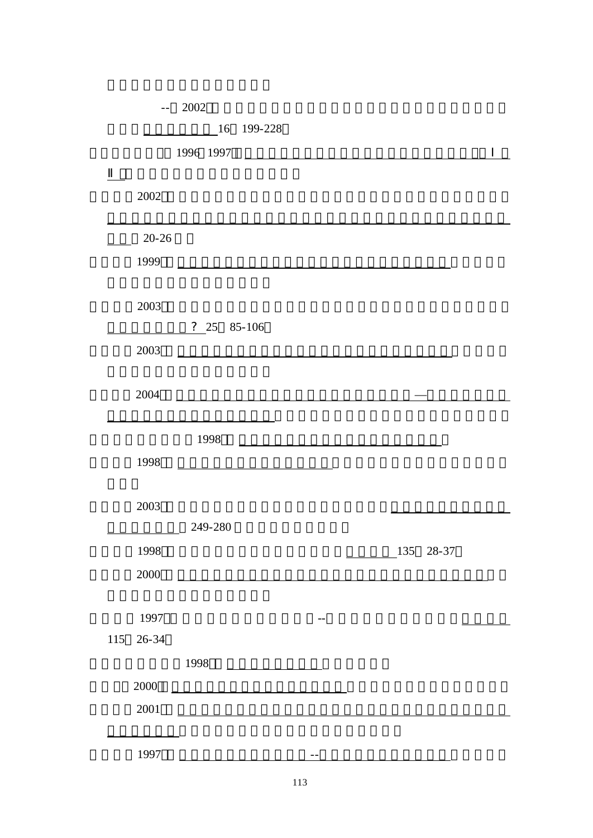|                   | 2002<br>$- -$                                                                                                         |
|-------------------|-----------------------------------------------------------------------------------------------------------------------|
|                   | 16<br>199-228                                                                                                         |
|                   | 1996 1997                                                                                                             |
|                   |                                                                                                                       |
| $2002\,$          |                                                                                                                       |
|                   |                                                                                                                       |
| $20 - 26$         |                                                                                                                       |
| 1999              |                                                                                                                       |
|                   |                                                                                                                       |
| 2003              |                                                                                                                       |
|                   | ?25<br>85-106                                                                                                         |
| 2003              |                                                                                                                       |
|                   | <u>and the state of the state of the state of the state of the state of the state of the state of the state of th</u> |
| 2004              |                                                                                                                       |
|                   |                                                                                                                       |
|                   | 1998                                                                                                                  |
| 1998              |                                                                                                                       |
|                   |                                                                                                                       |
| 2003              |                                                                                                                       |
|                   | 249-280                                                                                                               |
|                   |                                                                                                                       |
| 1998              | 135<br>$28 - 37$                                                                                                      |
| 2000              |                                                                                                                       |
|                   |                                                                                                                       |
| 1997<br>$26 - 34$ |                                                                                                                       |
| 115               |                                                                                                                       |
|                   | 1998                                                                                                                  |
| 2000              |                                                                                                                       |
| $2001\,$          |                                                                                                                       |
|                   |                                                                                                                       |
| 1997              |                                                                                                                       |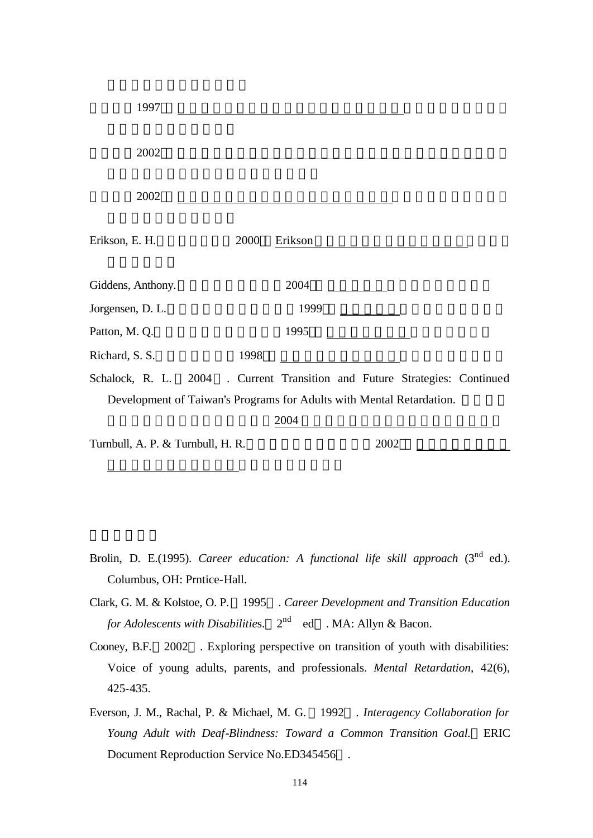| 1997                              |                                                                      |                                                       |  |
|-----------------------------------|----------------------------------------------------------------------|-------------------------------------------------------|--|
| 2002                              |                                                                      |                                                       |  |
| 2002                              |                                                                      |                                                       |  |
| Erikson, E. H.                    | 2000<br>Erikson                                                      |                                                       |  |
| Giddens, Anthony.                 | 2004                                                                 |                                                       |  |
| Jorgensen, D. L.                  | 1999                                                                 |                                                       |  |
| Patton, M. Q.                     | 1995                                                                 |                                                       |  |
| Richard, S. S.                    | 1998                                                                 |                                                       |  |
| Schalock, R. L.                   | 2004                                                                 | . Current Transition and Future Strategies: Continued |  |
|                                   | Development of Taiwan's Programs for Adults with Mental Retardation. |                                                       |  |
|                                   | 2004                                                                 |                                                       |  |
| Turnbull, A. P. & Turnbull, H. R. |                                                                      | 2002                                                  |  |
|                                   |                                                                      |                                                       |  |

- Brolin, D. E.(1995). *Career education: A functional life skill approach* (3<sup>nd</sup> ed.). Columbus, OH: Prntice-Hall.
- Clark, G. M. & Kolstoe, O. P. 1995 . *Career Development and Transition Education for Adolescents with Disabilitie*s. 2  $2^{nd}$  ed . MA: Allyn & Bacon.
- Cooney, B.F. 2002 . Exploring perspective on transition of youth with disabilities: Voice of young adults, parents, and professionals. *Mental Retardation*, 42(6), 425-435.
- Everson, J. M., Rachal, P. & Michael, M. G. 1992 . *Interagency Collaboration for Young Adult with Deaf-Blindness: Toward a Common Transition Goal.* ERIC Document Reproduction Service No.ED345456 .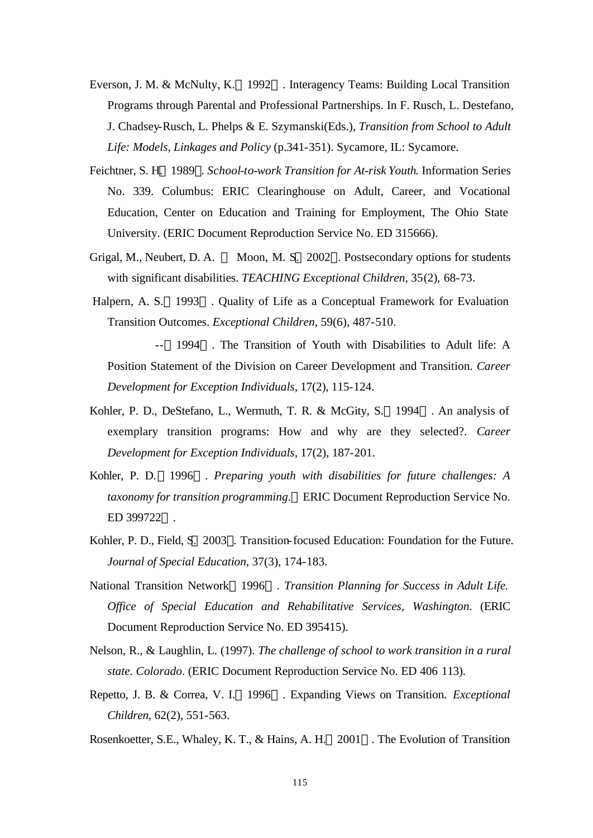- Everson, J. M. & McNulty, K. 1992 . Interagency Teams: Building Local Transition Programs through Parental and Professional Partnerships. In F. Rusch, L. Destefano, J. Chadsey-Rusch, L. Phelps & E. Szymanski(Eds.), *Transition from School to Adult Life: Models, Linkages and Policy* (p.341-351). Sycamore, IL: Sycamore.
- Feichtner, S. H. 1989 . *School-to-work Transition for At-risk Youth*. Information Series No. 339. Columbus: ERIC Clearinghouse on Adult, Career, and Vocational Education, Center on Education and Training for Employment, The Ohio State University. (ERIC Document Reproduction Service No. ED 315666).
- Grigal, M., Neubert, D. A. Moon, M. S. 2002 . Postsecondary options for students with significant disabilities. *TEACHING Exceptional Children,* 35(2), 68-73.
- Halpern, A. S. 1993 . Quality of Life as a Conceptual Framework for Evaluation Transition Outcomes. *Exceptional Children*, 59(6), 487-510.

-- 1994 . The Transition of Youth with Disabilities to Adult life: A Position Statement of the Division on Career Development and Transition. *Career Development for Exception Individuals*, 17(2), 115-124.

- Kohler, P. D., DeStefano, L., Wermuth, T. R. & McGity, S. 1994 . An analysis of exemplary transition programs: How and why are they selected?. *Career Development for Exception Individuals*, 17(2), 187-201.
- Kohler, P. D. 1996 . *Preparing youth with disabilities for future challenges: A taxonomy for transition programming*. ERIC Document Reproduction Service No. ED 399722 .
- Kohler, P. D., Field, S. 2003 . Transition-focused Education: Foundation for the Future. *Journal of Special Education*, 37(3), 174-183.
- National Transition Network 1996 . *Transition Planning for Success in Adult Life. Office of Special Education and Rehabilitative Services, Washington*. (ERIC Document Reproduction Service No. ED 395415).
- Nelson, R., & Laughlin, L. (1997). *The challenge of school to work transition in a rural state. Colorado*. (ERIC Document Reproduction Service No. ED 406 113).
- Repetto, J. B. & Correa, V. I. 1996 . Expanding Views on Transition. *Exceptional Children*, 62(2), 551-563.
- Rosenkoetter, S.E., Whaley, K. T., & Hains, A. H. 2001 . The Evolution of Transition